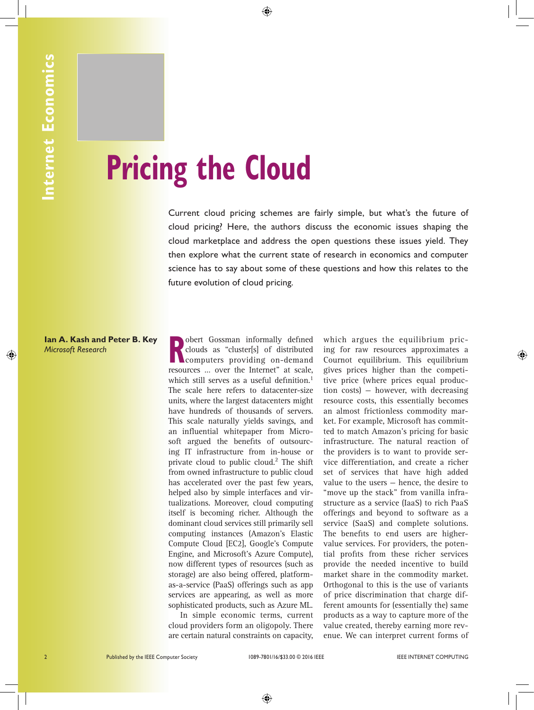Internet Economics **Internet Economics**

⊕

# **Pricing the Cloud**

 $\bigoplus$ 

Current cloud pricing schemes are fairly simple, but what's the future of cloud pricing? Here, the authors discuss the economic issues shaping the cloud marketplace and address the open questions these issues yield. They then explore what the current state of research in economics and computer science has to say about some of these questions and how this relates to the future evolution of cloud pricing.

**Ian A. Kash and Peter B. Key** *Microsoft Research*

**Robert Gossman informally defined**<br>
clouds as "cluster[s] of distributed<br>
computers providing on-demand **Conduct Contains a** informally defined clouds as "cluster[s] of distributed resources … over the Internet" at scale, which still serves as a useful definition.<sup>1</sup> The scale here refers to datacenter-size units, where the largest datacenters might have hundreds of thousands of servers. This scale naturally yields savings, and an influential whitepaper from Microsoft argued the benefits of outsourcing IT infrastructure from in-house or private cloud to public cloud.2 The shift from owned infrastructure to public cloud has accelerated over the past few years, helped also by simple interfaces and virtualizations. Moreover, cloud computing itself is becoming richer. Although the dominant cloud services still primarily sell computing instances (Amazon's Elastic Compute Cloud [EC2], Google's Compute Engine, and Microsoft's Azure Compute), now different types of resources (such as storage) are also being offered, platformas-a-service (PaaS) offerings such as app services are appearing, as well as more sophisticated products, such as Azure ML.

In simple economic terms, current cloud providers form an oligopoly. There are certain natural constraints on capacity, which argues the equilibrium pricing for raw resources approximates a Cournot equilibrium. This equilibrium gives prices higher than the competitive price (where prices equal production costs) — however, with decreasing resource costs, this essentially becomes an almost frictionless commodity market. For example, Microsoft has committed to match Amazon's pricing for basic infrastructure. The natural reaction of the providers is to want to provide service differentiation, and create a richer set of services that have high added value to the users — hence, the desire to "move up the stack" from vanilla infrastructure as a service (IaaS) to rich PaaS offerings and beyond to software as a service (SaaS) and complete solutions. The benefits to end users are highervalue services. For providers, the potential profits from these richer services provide the needed incentive to build market share in the commodity market. Orthogonal to this is the use of variants of price discrimination that charge different amounts for (essentially the) same products as a way to capture more of the value created, thereby earning more revenue. We can interpret current forms of

⊕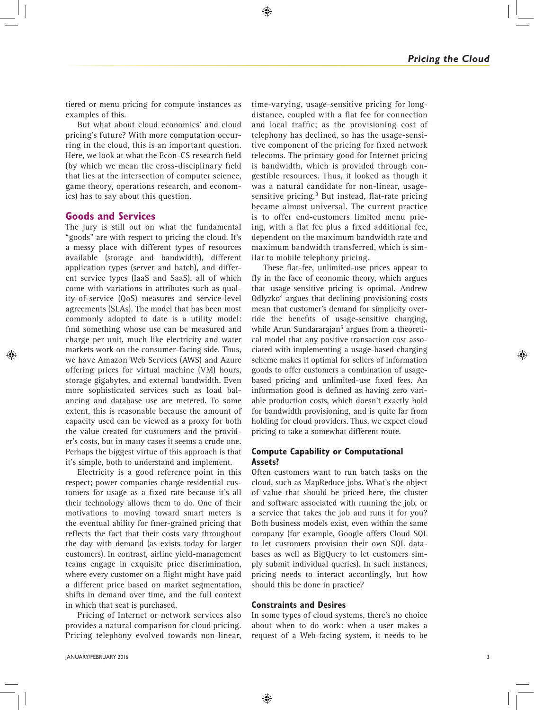⊕

tiered or menu pricing for compute instances as examples of this.

But what about cloud economics' and cloud pricing's future? With more computation occurring in the cloud, this is an important question. Here, we look at what the Econ-CS research field (by which we mean the cross-disciplinary field that lies at the intersection of computer science, game theory, operations research, and economics) has to say about this question.

## **Goods and Services**

The jury is still out on what the fundamental "goods" are with respect to pricing the cloud. It's a messy place with different types of resources available (storage and bandwidth), different application types (server and batch), and different service types (IaaS and SaaS), all of which come with variations in attributes such as quality-of-service (QoS) measures and service-level agreements (SLAs). The model that has been most commonly adopted to date is a utility model: find something whose use can be measured and charge per unit, much like electricity and water markets work on the consumer-facing side. Thus, we have Amazon Web Services (AWS) and Azure offering prices for virtual machine (VM) hours, storage gigabytes, and external bandwidth. Even more sophisticated services such as load balancing and database use are metered. To some extent, this is reasonable because the amount of capacity used can be viewed as a proxy for both the value created for customers and the provider's costs, but in many cases it seems a crude one. Perhaps the biggest virtue of this approach is that it's simple, both to understand and implement.

Electricity is a good reference point in this respect; power companies charge residential customers for usage as a fixed rate because it's all their technology allows them to do. One of their motivations to moving toward smart meters is the eventual ability for finer-grained pricing that reflects the fact that their costs vary throughout the day with demand (as exists today for larger customers). In contrast, airline yield-management teams engage in exquisite price discrimination, where every customer on a flight might have paid a different price based on market segmentation, shifts in demand over time, and the full context in which that seat is purchased.

Pricing of Internet or network services also provides a natural comparison for cloud pricing. Pricing telephony evolved towards non-linear, time-varying, usage-sensitive pricing for longdistance, coupled with a flat fee for connection and local traffic; as the provisioning cost of telephony has declined, so has the usage-sensitive component of the pricing for fixed network telecoms. The primary good for Internet pricing is bandwidth, which is provided through congestible resources. Thus, it looked as though it was a natural candidate for non-linear, usagesensitive pricing. $3$  But instead, flat-rate pricing became almost universal. The current practice is to offer end-customers limited menu pricing, with a flat fee plus a fixed additional fee, dependent on the maximum bandwidth rate and maximum bandwidth transferred, which is similar to mobile telephony pricing.

 $\bigoplus$ 

These flat-fee, unlimited-use prices appear to fly in the face of economic theory, which argues that usage-sensitive pricing is optimal. Andrew Odlyzko4 argues that declining provisioning costs mean that customer's demand for simplicity override the benefits of usage-sensitive charging, while Arun Sundararajan<sup>5</sup> argues from a theoretical model that any positive transaction cost associated with implementing a usage-based charging scheme makes it optimal for sellers of information goods to offer customers a combination of usagebased pricing and unlimited-use fixed fees. An information good is defined as having zero variable production costs, which doesn't exactly hold for bandwidth provisioning, and is quite far from holding for cloud providers. Thus, we expect cloud pricing to take a somewhat different route.

## **Compute Capability or Computational Assets?**

Often customers want to run batch tasks on the cloud, such as MapReduce jobs. What's the object of value that should be priced here, the cluster and software associated with running the job, or a service that takes the job and runs it for you? Both business models exist, even within the same company (for example, Google offers Cloud SQL to let customers provision their own SQL databases as well as BigQuery to let customers simply submit individual queries). In such instances, pricing needs to interact accordingly, but how should this be done in practice?

#### **Constraints and Desires**

In some types of cloud systems, there's no choice about when to do work: when a user makes a request of a Web-facing system, it needs to be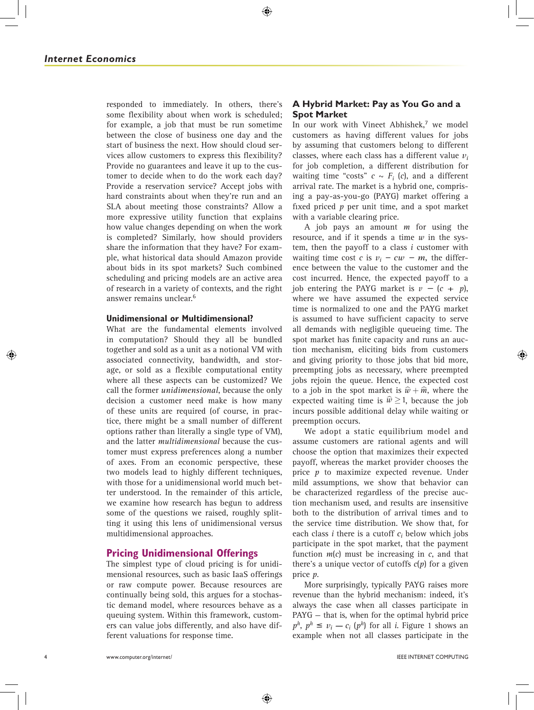⇔

responded to immediately. In others, there's some flexibility about when work is scheduled; for example, a job that must be run sometime between the close of business one day and the start of business the next. How should cloud services allow customers to express this flexibility? Provide no guarantees and leave it up to the customer to decide when to do the work each day? Provide a reservation service? Accept jobs with hard constraints about when they're run and an SLA about meeting those constraints? Allow a more expressive utility function that explains how value changes depending on when the work is completed? Similarly, how should providers share the information that they have? For example, what historical data should Amazon provide about bids in its spot markets? Such combined scheduling and pricing models are an active area of research in a variety of contexts, and the right answer remains unclear.6

 $\bigoplus$ 

#### **Unidimensional or Multidimensional?**

What are the fundamental elements involved in computation? Should they all be bundled together and sold as a unit as a notional VM with associated connectivity, bandwidth, and storage, or sold as a flexible computational entity where all these aspects can be customized? We call the former *unidimensional*, because the only decision a customer need make is how many of these units are required (of course, in practice, there might be a small number of different options rather than literally a single type of VM), and the latter *multidimensional* because the customer must express preferences along a number of axes. From an economic perspective, these two models lead to highly different techniques, with those for a unidimensional world much better understood. In the remainder of this article, we examine how research has begun to address some of the questions we raised, roughly splitting it using this lens of unidimensional versus multidimensional approaches.

#### **Pricing Unidimensional Offerings**

The simplest type of cloud pricing is for unidimensional resources, such as basic IaaS offerings or raw compute power. Because resources are continually being sold, this argues for a stochastic demand model, where resources behave as a queuing system. Within this framework, customers can value jobs differently, and also have different valuations for response time.

## **A Hybrid Market: Pay as You Go and a Spot Market**

In our work with Vineet Abhishek,<sup>7</sup> we model customers as having different values for jobs by assuming that customers belong to different classes, where each class has a different value *vi* for job completion, a different distribution for waiting time "costs"  $c \sim F_i$  (*c*), and a different arrival rate. The market is a hybrid one, comprising a pay-as-you-go (PAYG) market offering a fixed priced *p* per unit time, and a spot market with a variable clearing price.

A job pays an amount *m* for using the resource, and if it spends a time *w* in the system, then the payoff to a class *i* customer with waiting time cost *c* is  $v_i - cw - m$ , the difference between the value to the customer and the cost incurred. Hence, the expected payoff to a job entering the PAYG market is *v −* (*c* + *p*), where we have assumed the expected service time is normalized to one and the PAYG market is assumed to have sufficient capacity to serve all demands with negligible queueing time. The spot market has finite capacity and runs an auction mechanism, eliciting bids from customers and giving priority to those jobs that bid more, preempting jobs as necessary, where preempted jobs rejoin the queue. Hence, the expected cost to a job in the spot market is  $\hat{w} + \hat{m}$ , where the expected waiting time is  $\hat{w} \geq 1$ , because the job incurs possible additional delay while waiting or preemption occurs.

⊕

We adopt a static equilibrium model and assume customers are rational agents and will choose the option that maximizes their expected payoff, whereas the market provider chooses the price *p* to maximize expected revenue. Under mild assumptions, we show that behavior can be characterized regardless of the precise auction mechanism used, and results are insensitive both to the distribution of arrival times and to the service time distribution. We show that, for each class  $i$  there is a cutoff  $c_i$  below which jobs participate in the spot market, that the payment function *m*(*c*) must be increasing in *c*, and that there's a unique vector of cutoffs *c*(*p*) for a given price *p*.

More surprisingly, typically PAYG raises more revenue than the hybrid mechanism: indeed, it's always the case when all classes participate in PAYG — that is, when for the optimal hybrid price  $p^h$ ,  $p^h \le v_i - c_i$  ( $p^h$ ) for all *i*. Figure 1 shows an example when not all classes participate in the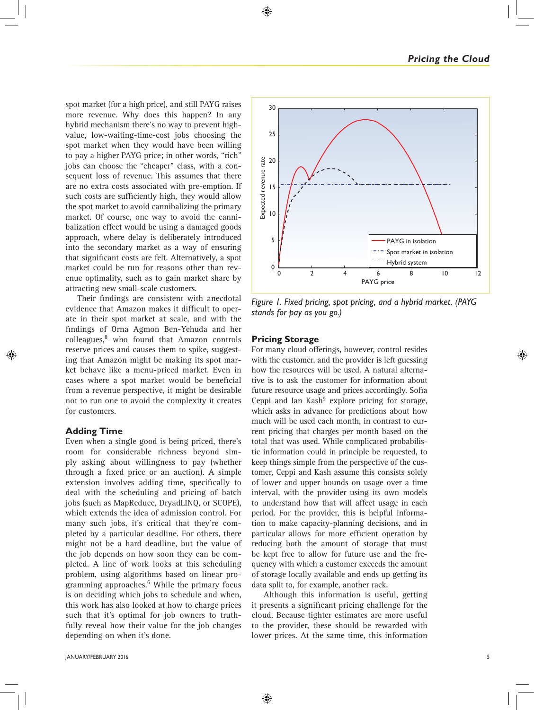$\bigoplus$ 

## *Pricing the Cloud*

⊕

spot market (for a high price), and still PAYG raises more revenue. Why does this happen? In any hybrid mechanism there's no way to prevent highvalue, low-waiting-time-cost jobs choosing the spot market when they would have been willing to pay a higher PAYG price; in other words, "rich" jobs can choose the "cheaper" class, with a consequent loss of revenue. This assumes that there are no extra costs associated with pre-emption. If such costs are sufficiently high, they would allow the spot market to avoid cannibalizing the primary market. Of course, one way to avoid the cannibalization effect would be using a damaged goods approach, where delay is deliberately introduced into the secondary market as a way of ensuring that significant costs are felt. Alternatively, a spot market could be run for reasons other than revenue optimality, such as to gain market share by attracting new small-scale customers.

Their findings are consistent with anecdotal evidence that Amazon makes it difficult to operate in their spot market at scale, and with the findings of Orna Agmon Ben-Yehuda and her colleagues,8 who found that Amazon controls reserve prices and causes them to spike, suggesting that Amazon might be making its spot market behave like a menu-priced market. Even in cases where a spot market would be beneficial from a revenue perspective, it might be desirable not to run one to avoid the complexity it creates for customers.

## **Adding Time**

⊕

Even when a single good is being priced, there's room for considerable richness beyond simply asking about willingness to pay (whether through a fixed price or an auction). A simple extension involves adding time, specifically to deal with the scheduling and pricing of batch jobs (such as MapReduce, DryadLINQ, or SCOPE), which extends the idea of admission control. For many such jobs, it's critical that they're completed by a particular deadline. For others, there might not be a hard deadline, but the value of the job depends on how soon they can be completed. A line of work looks at this scheduling problem, using algorithms based on linear programming approaches.6 While the primary focus is on deciding which jobs to schedule and when, this work has also looked at how to charge prices such that it's optimal for job owners to truthfully reveal how their value for the job changes depending on when it's done.



*Figure 1. Fixed pricing, spot pricing, and a hybrid market. (PAYG stands for pay as you go.)*

#### **Pricing Storage**

For many cloud offerings, however, control resides with the customer, and the provider is left guessing how the resources will be used. A natural alternative is to ask the customer for information about future resource usage and prices accordingly. Sofia Ceppi and Ian Kash<sup>9</sup> explore pricing for storage, which asks in advance for predictions about how much will be used each month, in contrast to current pricing that charges per month based on the total that was used. While complicated probabilistic information could in principle be requested, to keep things simple from the perspective of the customer, Ceppi and Kash assume this consists solely of lower and upper bounds on usage over a time interval, with the provider using its own models to understand how that will affect usage in each period. For the provider, this is helpful information to make capacity-planning decisions, and in particular allows for more efficient operation by reducing both the amount of storage that must be kept free to allow for future use and the frequency with which a customer exceeds the amount of storage locally available and ends up getting its data split to, for example, another rack.

Although this information is useful, getting it presents a significant pricing challenge for the cloud. Because tighter estimates are more useful to the provider, these should be rewarded with lower prices. At the same time, this information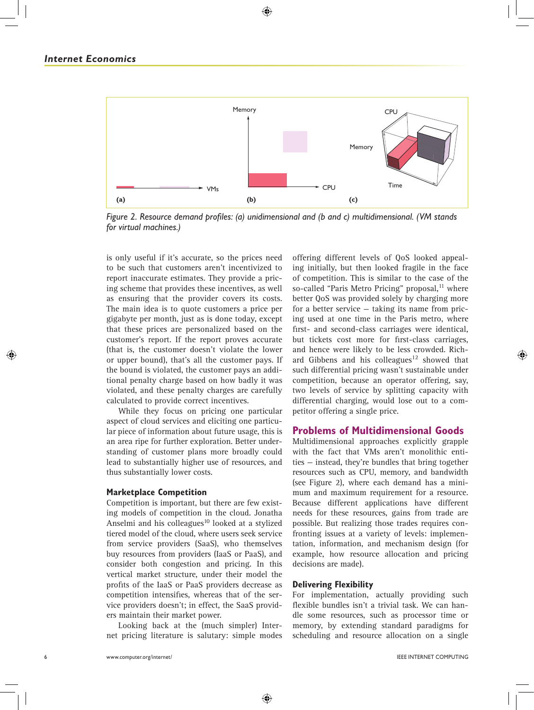## *Internet Economics*

⊕



 $\bigoplus$ 

*Figure 2. Resource demand profiles: (a) unidimensional and (b and c) multidimensional. (VM stands for virtual machines.)*

is only useful if it's accurate, so the prices need to be such that customers aren't incentivized to report inaccurate estimates. They provide a pricing scheme that provides these incentives, as well as ensuring that the provider covers its costs. The main idea is to quote customers a price per gigabyte per month, just as is done today, except that these prices are personalized based on the customer's report. If the report proves accurate (that is, the customer doesn't violate the lower or upper bound), that's all the customer pays. If the bound is violated, the customer pays an additional penalty charge based on how badly it was violated, and these penalty charges are carefully calculated to provide correct incentives.

While they focus on pricing one particular aspect of cloud services and eliciting one particular piece of information about future usage, this is an area ripe for further exploration. Better understanding of customer plans more broadly could lead to substantially higher use of resources, and thus substantially lower costs.

#### **Marketplace Competition**

Competition is important, but there are few existing models of competition in the cloud. Jonatha Anselmi and his colleagues<sup>10</sup> looked at a stylized tiered model of the cloud, where users seek service from service providers (SaaS), who themselves buy resources from providers (IaaS or PaaS), and consider both congestion and pricing. In this vertical market structure, under their model the profits of the IaaS or PaaS providers decrease as competition intensifies, whereas that of the service providers doesn't; in effect, the SaaS providers maintain their market power.

Looking back at the (much simpler) Internet pricing literature is salutary: simple modes offering different levels of QoS looked appealing initially, but then looked fragile in the face of competition. This is similar to the case of the so-called "Paris Metro Pricing" proposal,<sup>11</sup> where better QoS was provided solely by charging more for a better service — taking its name from pricing used at one time in the Paris metro, where first- and second-class carriages were identical, but tickets cost more for first-class carriages, and hence were likely to be less crowded. Richard Gibbens and his colleagues $12$  showed that such differential pricing wasn't sustainable under competition, because an operator offering, say, two levels of service by splitting capacity with differential charging, would lose out to a competitor offering a single price.

⊕

## **Problems of Multidimensional Goods**

Multidimensional approaches explicitly grapple with the fact that VMs aren't monolithic entities — instead, they're bundles that bring together resources such as CPU, memory, and bandwidth (see Figure 2), where each demand has a minimum and maximum requirement for a resource. Because different applications have different needs for these resources, gains from trade are possible. But realizing those trades requires confronting issues at a variety of levels: implementation, information, and mechanism design (for example, how resource allocation and pricing decisions are made).

### **Delivering Flexibility**

For implementation, actually providing such flexible bundles isn't a trivial task. We can handle some resources, such as processor time or memory, by extending standard paradigms for scheduling and resource allocation on a single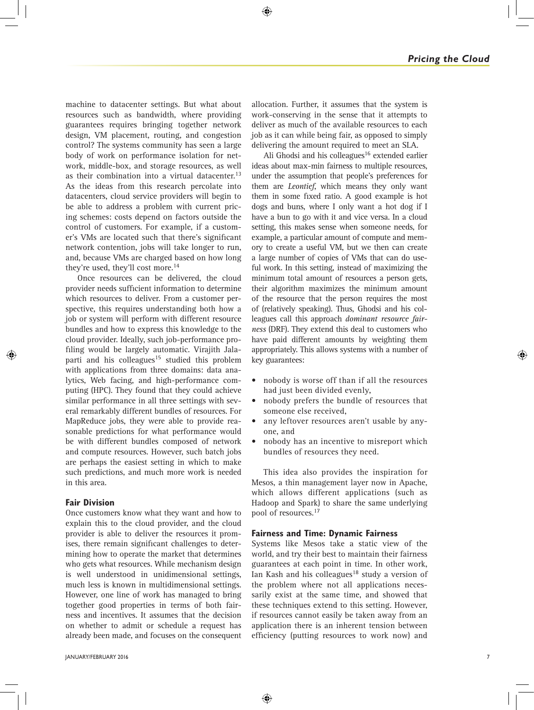⊕

machine to datacenter settings. But what about resources such as bandwidth, where providing guarantees requires bringing together network design, VM placement, routing, and congestion control? The systems community has seen a large body of work on performance isolation for network, middle-box, and storage resources, as well as their combination into a virtual datacenter.<sup>13</sup> As the ideas from this research percolate into datacenters, cloud service providers will begin to be able to address a problem with current pricing schemes: costs depend on factors outside the control of customers. For example, if a customer's VMs are located such that there's significant network contention, jobs will take longer to run, and, because VMs are charged based on how long they're used, they'll cost more.<sup>14</sup>

Once resources can be delivered, the cloud provider needs sufficient information to determine which resources to deliver. From a customer perspective, this requires understanding both how a job or system will perform with different resource bundles and how to express this knowledge to the cloud provider. Ideally, such job-performance profiling would be largely automatic. Virajith Jalaparti and his colleagues<sup>15</sup> studied this problem with applications from three domains: data analytics, Web facing, and high-performance computing (HPC). They found that they could achieve similar performance in all three settings with several remarkably different bundles of resources. For MapReduce jobs, they were able to provide reasonable predictions for what performance would be with different bundles composed of network and compute resources. However, such batch jobs are perhaps the easiest setting in which to make such predictions, and much more work is needed in this area.

#### **Fair Division**

⇔

Once customers know what they want and how to explain this to the cloud provider, and the cloud provider is able to deliver the resources it promises, there remain significant challenges to determining how to operate the market that determines who gets what resources. While mechanism design is well understood in unidimensional settings, much less is known in multidimensional settings. However, one line of work has managed to bring together good properties in terms of both fairness and incentives. It assumes that the decision on whether to admit or schedule a request has already been made, and focuses on the consequent allocation. Further, it assumes that the system is work-conserving in the sense that it attempts to deliver as much of the available resources to each job as it can while being fair, as opposed to simply delivering the amount required to meet an SLA.

 $\bigoplus$ 

Ali Ghodsi and his colleagues $16$  extended earlier ideas about max-min fairness to multiple resources, under the assumption that people's preferences for them are *Leontief*, which means they only want them in some fixed ratio. A good example is hot dogs and buns, where I only want a hot dog if I have a bun to go with it and vice versa. In a cloud setting, this makes sense when someone needs, for example, a particular amount of compute and memory to create a useful VM, but we then can create a large number of copies of VMs that can do useful work. In this setting, instead of maximizing the minimum total amount of resources a person gets, their algorithm maximizes the minimum amount of the resource that the person requires the most of (relatively speaking). Thus, Ghodsi and his colleagues call this approach *dominant resource fairness* (DRF). They extend this deal to customers who have paid different amounts by weighting them appropriately. This allows systems with a number of key guarantees:

- nobody is worse off than if all the resources had just been divided evenly,
- • nobody prefers the bundle of resources that someone else received,
- any leftover resources aren't usable by anyone, and
- nobody has an incentive to misreport which bundles of resources they need.

This idea also provides the inspiration for Mesos, a thin management layer now in Apache, which allows different applications (such as Hadoop and Spark) to share the same underlying pool of resources.17

#### **Fairness and Time: Dynamic Fairness**

Systems like Mesos take a static view of the world, and try their best to maintain their fairness guarantees at each point in time. In other work, Ian Kash and his colleagues $18$  study a version of the problem where not all applications necessarily exist at the same time, and showed that these techniques extend to this setting. However, if resources cannot easily be taken away from an application there is an inherent tension between efficiency (putting resources to work now) and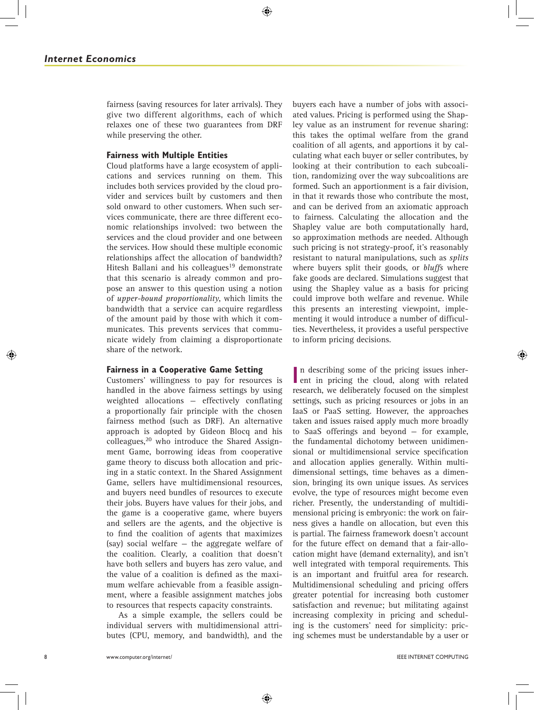⊕

fairness (saving resources for later arrivals). They give two different algorithms, each of which relaxes one of these two guarantees from DRF while preserving the other.

 $\bigoplus$ 

#### **Fairness with Multiple Entities**

Cloud platforms have a large ecosystem of applications and services running on them. This includes both services provided by the cloud provider and services built by customers and then sold onward to other customers. When such services communicate, there are three different economic relationships involved: two between the services and the cloud provider and one between the services. How should these multiple economic relationships affect the allocation of bandwidth? Hitesh Ballani and his colleagues<sup>19</sup> demonstrate that this scenario is already common and propose an answer to this question using a notion of *upper-bound proportionality*, which limits the bandwidth that a service can acquire regardless of the amount paid by those with which it communicates. This prevents services that communicate widely from claiming a disproportionate share of the network.

## **Fairness in a Cooperative Game Setting**

Customers' willingness to pay for resources is handled in the above fairness settings by using weighted allocations — effectively conflating a proportionally fair principle with the chosen fairness method (such as DRF). An alternative approach is adopted by Gideon Blocq and his colleagues,20 who introduce the Shared Assignment Game, borrowing ideas from cooperative game theory to discuss both allocation and pricing in a static context. In the Shared Assignment Game, sellers have multidimensional resources, and buyers need bundles of resources to execute their jobs. Buyers have values for their jobs, and the game is a cooperative game, where buyers and sellers are the agents, and the objective is to find the coalition of agents that maximizes (say) social welfare — the aggregate welfare of the coalition. Clearly, a coalition that doesn't have both sellers and buyers has zero value, and the value of a coalition is defined as the maximum welfare achievable from a feasible assignment, where a feasible assignment matches jobs to resources that respects capacity constraints.

As a simple example, the sellers could be individual servers with multidimensional attributes (CPU, memory, and bandwidth), and the buyers each have a number of jobs with associated values. Pricing is performed using the Shapley value as an instrument for revenue sharing: this takes the optimal welfare from the grand coalition of all agents, and apportions it by calculating what each buyer or seller contributes, by looking at their contribution to each subcoalition, randomizing over the way subcoalitions are formed. Such an apportionment is a fair division, in that it rewards those who contribute the most, and can be derived from an axiomatic approach to fairness. Calculating the allocation and the Shapley value are both computationally hard, so approximation methods are needed. Although such pricing is not strategy-proof, it's reasonably resistant to natural manipulations, such as *splits* where buyers split their goods, or *bluffs* where fake goods are declared. Simulations suggest that using the Shapley value as a basis for pricing could improve both welfare and revenue. While this presents an interesting viewpoint, implementing it would introduce a number of difficulties. Nevertheless, it provides a useful perspective to inform pricing decisions.

In describing some of the pricing issues inher-<br>
ent in pricing the cloud, along with related n describing some of the pricing issues inherresearch, we deliberately focused on the simplest settings, such as pricing resources or jobs in an IaaS or PaaS setting. However, the approaches taken and issues raised apply much more broadly to SaaS offerings and beyond — for example, the fundamental dichotomy between unidimensional or multidimensional service specification and allocation applies generally. Within multidimensional settings, time behaves as a dimension, bringing its own unique issues. As services evolve, the type of resources might become even richer. Presently, the understanding of multidimensional pricing is embryonic: the work on fairness gives a handle on allocation, but even this is partial. The fairness framework doesn't account for the future effect on demand that a fair-allocation might have (demand externality), and isn't well integrated with temporal requirements. This is an important and fruitful area for research. Multidimensional scheduling and pricing offers greater potential for increasing both customer satisfaction and revenue; but militating against increasing complexity in pricing and scheduling is the customers' need for simplicity: pricing schemes must be understandable by a user or

⊕